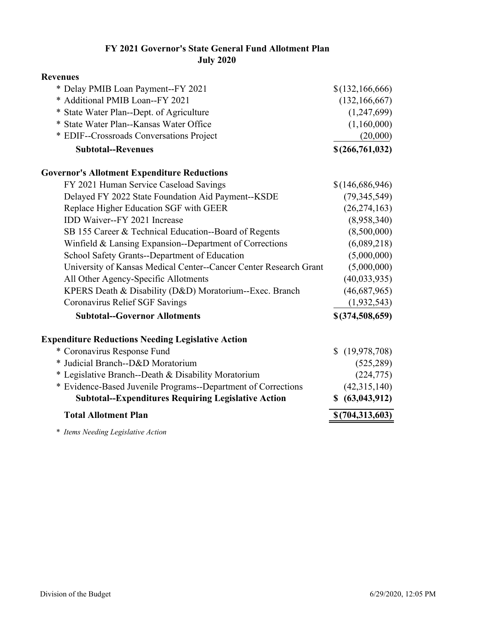## **FY 2021 Governor's State General Fund Allotment Plan July 2020**

| * Delay PMIB Loan Payment--FY 2021<br>* Additional PMIB Loan--FY 2021 | \$(132,166,666)<br>(132, 166, 667) |
|-----------------------------------------------------------------------|------------------------------------|
|                                                                       |                                    |
|                                                                       |                                    |
| * State Water Plan--Dept. of Agriculture                              | (1,247,699)                        |
| * State Water Plan--Kansas Water Office                               | (1,160,000)                        |
| * EDIF--Crossroads Conversations Project                              | (20,000)                           |
| <b>Subtotal--Revenues</b>                                             | \$(266,761,032)                    |
| <b>Governor's Allotment Expenditure Reductions</b>                    |                                    |
| FY 2021 Human Service Caseload Savings                                | \$(146,686,946)                    |
| Delayed FY 2022 State Foundation Aid Payment--KSDE                    | (79, 345, 549)                     |
| Replace Higher Education SGF with GEER                                | (26, 274, 163)                     |
| IDD Waiver--FY 2021 Increase                                          | (8,958,340)                        |
| SB 155 Career & Technical Education--Board of Regents                 | (8,500,000)                        |
| Winfield & Lansing Expansion--Department of Corrections               | (6,089,218)                        |
| School Safety Grants--Department of Education                         | (5,000,000)                        |
| University of Kansas Medical Center--Cancer Center Research Grant     | (5,000,000)                        |
| All Other Agency-Specific Allotments                                  | (40,033,935)                       |
| KPERS Death & Disability (D&D) Moratorium--Exec. Branch               | (46,687,965)                       |
| Coronavirus Relief SGF Savings                                        | (1,932,543)                        |
| <b>Subtotal--Governor Allotments</b>                                  | \$(374,508,659)                    |
| <b>Expenditure Reductions Needing Legislative Action</b>              |                                    |
| * Coronavirus Response Fund                                           | \$(19,978,708)                     |
| * Judicial Branch--D&D Moratorium                                     | (525, 289)                         |
| * Legislative Branch--Death & Disability Moratorium                   | (224, 775)                         |
| * Evidence-Based Juvenile Programs--Department of Corrections         | (42,315,140)                       |
| <b>Subtotal--Expenditures Requiring Legislative Action</b>            | \$ (63, 043, 912)                  |
| <b>Total Allotment Plan</b>                                           | \$(704,313,603)                    |

*\* Items Needing Legislative Action*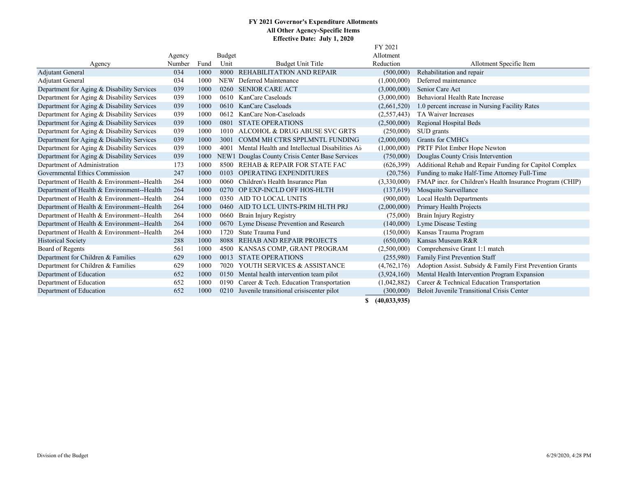## **FY 2021 Governor's Expenditure Allotments All Other Agency-Specific Items Effective Date: July 1, 2020**  $E(Y, 2021)$

|                                            |        |      |               |                                                 | FY ZUZI<br>Allotment |                                                           |  |
|--------------------------------------------|--------|------|---------------|-------------------------------------------------|----------------------|-----------------------------------------------------------|--|
|                                            | Agency |      | <b>Budget</b> |                                                 |                      |                                                           |  |
| Agency                                     | Number | Fund | Unit          | <b>Budget Unit Title</b>                        | Reduction            | Allotment Specific Item                                   |  |
| <b>Adjutant General</b>                    | 034    | 1000 | 8000          | <b>REHABILITATION AND REPAIR</b>                | (500,000)            | Rehabilitation and repair                                 |  |
| Adjutant General                           | 034    | 1000 | <b>NEW</b>    | Deferred Maintenance                            | (1,000,000)          | Deferred maintenance                                      |  |
| Department for Aging & Disability Services | 039    | 1000 | 0260          | <b>SENIOR CARE ACT</b>                          | (3,000,000)          | Senior Care Act                                           |  |
| Department for Aging & Disability Services | 039    | 1000 | 0610          | KanCare Caseloads                               | (3,000,000)          | Behavioral Health Rate Increase                           |  |
| Department for Aging & Disability Services | 039    | 1000 | 0610          | KanCare Caseloads                               | (2,661,520)          | 1.0 percent increase in Nursing Facility Rates            |  |
| Department for Aging & Disability Services | 039    | 1000 | 0612          | KanCare Non-Caseloads                           | (2,557,443)          | TA Waiver Increases                                       |  |
| Department for Aging & Disability Services | 039    | 1000 | 0801          | <b>STATE OPERATIONS</b>                         | (2,500,000)          | Regional Hospital Beds                                    |  |
| Department for Aging & Disability Services | 039    | 1000 | 1010          | ALCOHOL & DRUG ABUSE SVC GRTS                   | (250,000)            | SUD grants                                                |  |
| Department for Aging & Disability Services | 039    | 1000 | 3001          | COMM MH CTRS SPPLMNTL FUNDING                   | (2,000,000)          | Grants for CMHCs                                          |  |
| Department for Aging & Disability Services | 039    | 1000 | 4001          | Mental Health and Intellectual Disabilities Ai  | (1,000,000)          | PRTF Pilot Ember Hope Newton                              |  |
| Department for Aging & Disability Services | 039    | 1000 |               | NEW1 Douglas County Crisis Center Base Services | (750,000)            | Douglas County Crisis Intervention                        |  |
| Department of Administration               | 173    | 1000 | 8500          | <b>REHAB &amp; REPAIR FOR STATE FAC</b>         | (626,399)            | Additional Rehab and Repair Funding for Capitol Complex   |  |
| Governmental Ethics Commission             | 247    | 1000 | 0103          | <b>OPERATING EXPENDITURES</b>                   | (20,756)             | Funding to make Half-Time Attorney Full-Time              |  |
| Department of Health & Environment--Health | 264    | 1000 | 0060          | Children's Health Insurance Plan                | (3,330,000)          | FMAP incr. for Children's Health Insurance Program (CHIP) |  |
| Department of Health & Environment--Health | 264    | 1000 | 0270          | OP EXP-INCLD OFF HOS-HLTH                       | (137,619)            | Mosquito Surveillance                                     |  |
| Department of Health & Environment--Health | 264    | 1000 | 0350          | AID TO LOCAL UNITS                              | (900,000)            | <b>Local Health Departments</b>                           |  |
| Department of Health & Environment--Health | 264    | 1000 | 0460          | AID TO LCL UINTS-PRIM HLTH PRJ                  | (2,000,000)          | Primary Health Projects                                   |  |
| Department of Health & Environment--Health | 264    | 1000 | 0660          | Brain Injury Registry                           | (75,000)             | Brain Injury Registry                                     |  |
| Department of Health & Environment--Health | 264    | 1000 | 0670          | Lyme Disease Prevention and Research            | (140,000)            | Lyme Disease Testing                                      |  |
| Department of Health & Environment--Health | 264    | 1000 | 1720          | State Trauma Fund                               | (150,000)            | Kansas Trauma Program                                     |  |
| <b>Historical Society</b>                  | 288    | 1000 | 8088          | <b>REHAB AND REPAIR PROJECTS</b>                | (650,000)            | Kansas Museum R&R                                         |  |
| Board of Regents                           | 561    | 1000 | 4500          | KANSAS COMP, GRANT PROGRAM                      | (2,500,000)          | Comprehensive Grant 1:1 match                             |  |
| Department for Children & Families         | 629    | 1000 | 0013          | <b>STATE OPERATIONS</b>                         | (255,980)            | <b>Family First Prevention Staff</b>                      |  |
| Department for Children & Families         | 629    | 1000 | 7020          | YOUTH SERVICES & ASSISTANCE                     | (4,762,176)          | Adoption Assist. Subsidy & Family First Prevention Grants |  |
| Department of Education                    | 652    | 1000 |               | 0150 Mental health intervention team pilot      | (3,924,160)          | Mental Health Intervention Program Expansion              |  |
| Department of Education                    | 652    | 1000 | 0190          | Career & Tech. Education Transportation         | (1,042,882)          | Career & Technical Education Transportation               |  |
| Department of Education                    | 652    | 1000 |               | 0210 Juvenile transitional crisiscenter pilot   | (300,000)            | <b>Beloit Juvenile Transitional Crisis Center</b>         |  |
|                                            |        |      |               |                                                 | \$(40, 033, 935)     |                                                           |  |